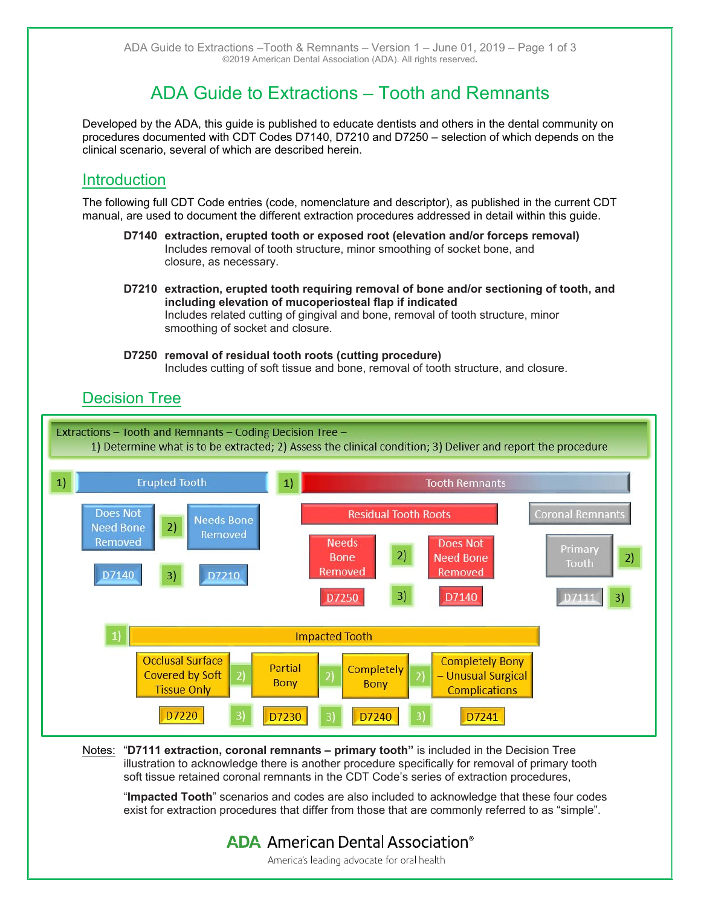# ADA Guide to Extractions – Tooth and Remnants

Developed by the ADA, this guide is published to educate dentists and others in the dental community on procedures documented with CDT Codes D7140, D7210 and D7250 – selection of which depends on the clinical scenario, several of which are described herein.

### **Introduction**

The following full CDT Code entries (code, nomenclature and descriptor), as published in the current CDT manual, are used to document the different extraction procedures addressed in detail within this guide.

- **D7140 extraction, erupted tooth or exposed root (elevation and/or forceps removal)** Includes removal of tooth structure, minor smoothing of socket bone, and closure, as necessary.
- **D7210 extraction, erupted tooth requiring removal of bone and/or sectioning of tooth, and including elevation of mucoperiosteal flap if indicated** Includes related cutting of gingival and bone, removal of tooth structure, minor smoothing of socket and closure.

### **D7250 removal of residual tooth roots (cutting procedure)**

Includes cutting of soft tissue and bone, removal of tooth structure, and closure.

## Decision Tree



Notes: "**D7111 extraction, coronal remnants – primary tooth"** is included in the Decision Tree illustration to acknowledge there is another procedure specifically for removal of primary tooth soft tissue retained coronal remnants in the CDT Code's series of extraction procedures,

"**Impacted Tooth**" scenarios and codes are also included to acknowledge that these four codes exist for extraction procedures that differ from those that are commonly referred to as "simple".

## **ADA** American Dental Association<sup>®</sup>

America's leading advocate for oral health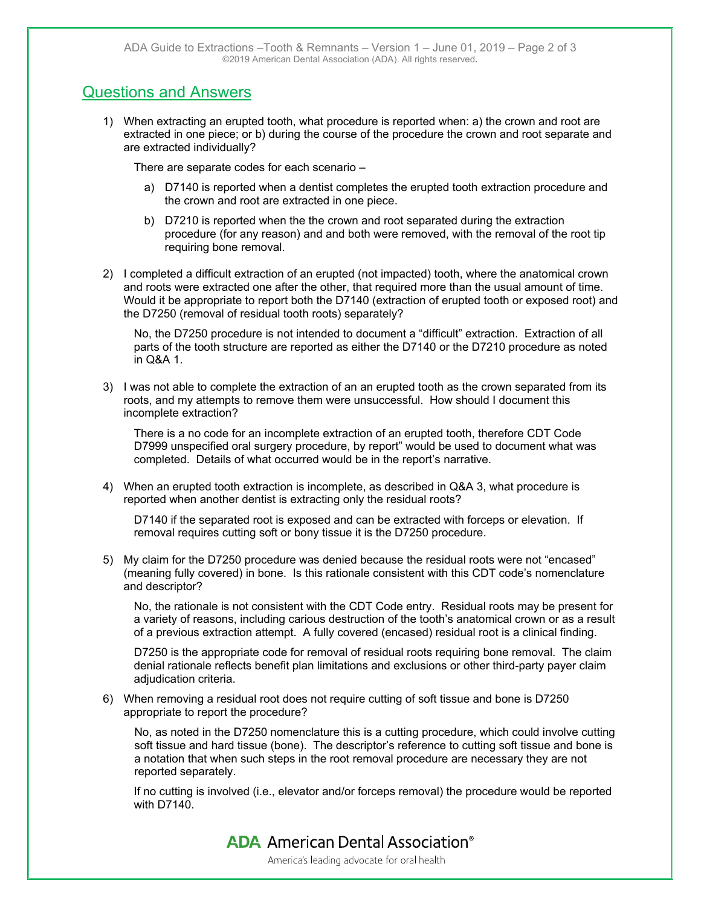### Questions and Answers

1) When extracting an erupted tooth, what procedure is reported when: a) the crown and root are extracted in one piece; or b) during the course of the procedure the crown and root separate and are extracted individually?

There are separate codes for each scenario –

- a) D7140 is reported when a dentist completes the erupted tooth extraction procedure and the crown and root are extracted in one piece.
- b) D7210 is reported when the the crown and root separated during the extraction procedure (for any reason) and and both were removed, with the removal of the root tip requiring bone removal.
- 2) I completed a difficult extraction of an erupted (not impacted) tooth, where the anatomical crown and roots were extracted one after the other, that required more than the usual amount of time. Would it be appropriate to report both the D7140 (extraction of erupted tooth or exposed root) and the D7250 (removal of residual tooth roots) separately?

No, the D7250 procedure is not intended to document a "difficult" extraction. Extraction of all parts of the tooth structure are reported as either the D7140 or the D7210 procedure as noted in Q&A 1.

3) I was not able to complete the extraction of an an erupted tooth as the crown separated from its roots, and my attempts to remove them were unsuccessful. How should I document this incomplete extraction?

There is a no code for an incomplete extraction of an erupted tooth, therefore CDT Code D7999 unspecified oral surgery procedure, by report" would be used to document what was completed. Details of what occurred would be in the report's narrative.

4) When an erupted tooth extraction is incomplete, as described in Q&A 3, what procedure is reported when another dentist is extracting only the residual roots?

D7140 if the separated root is exposed and can be extracted with forceps or elevation. If removal requires cutting soft or bony tissue it is the D7250 procedure.

5) My claim for the D7250 procedure was denied because the residual roots were not "encased" (meaning fully covered) in bone. Is this rationale consistent with this CDT code's nomenclature and descriptor?

No, the rationale is not consistent with the CDT Code entry. Residual roots may be present for a variety of reasons, including carious destruction of the tooth's anatomical crown or as a result of a previous extraction attempt. A fully covered (encased) residual root is a clinical finding.

D7250 is the appropriate code for removal of residual roots requiring bone removal. The claim denial rationale reflects benefit plan limitations and exclusions or other third-party payer claim adjudication criteria.

6) When removing a residual root does not require cutting of soft tissue and bone is D7250 appropriate to report the procedure?

No, as noted in the D7250 nomenclature this is a cutting procedure, which could involve cutting soft tissue and hard tissue (bone). The descriptor's reference to cutting soft tissue and bone is a notation that when such steps in the root removal procedure are necessary they are not reported separately.

If no cutting is involved (i.e., elevator and/or forceps removal) the procedure would be reported with D7140.

> **ADA** American Dental Association<sup>®</sup> America's leading advocate for oral health